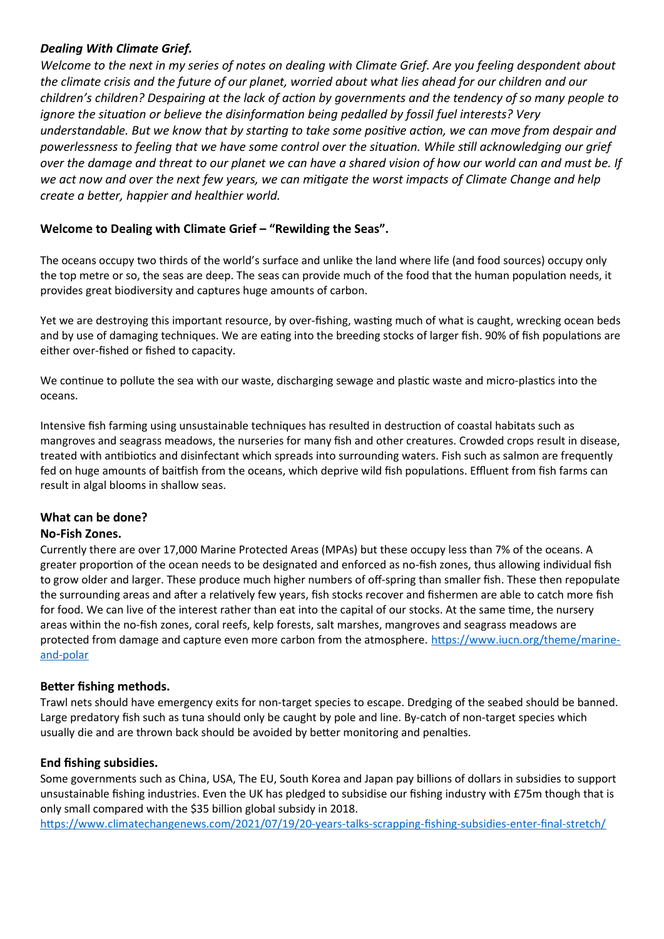## *Dealing With Climate Grief.*

*Welcome to the next in my series of notes on dealing with Climate Grief. Are you feeling despondent about the climate crisis and the future of our planet, worried about what lies ahead for our children and our children's children? Despairing at the lack of action by governments and the tendency of so many people to ignore the situation or believe the disinformation being pedalled by fossil fuel interests? Very understandable. But we know that by starting to take some positive action, we can move from despair and powerlessness to feeling that we have some control over the situation. While still acknowledging our grief over the damage and threat to our planet we can have a shared vision of how our world can and must be. If we act now and over the next few years, we can mitigate the worst impacts of Climate Change and help create a better, happier and healthier world.*

# **Welcome to Dealing with Climate Grief – "Rewilding the Seas".**

The oceans occupy two thirds of the world's surface and unlike the land where life (and food sources) occupy only the top metre or so, the seas are deep. The seas can provide much of the food that the human population needs, it provides great biodiversity and captures huge amounts of carbon.

Yet we are destroying this important resource, by over-fishing, wasting much of what is caught, wrecking ocean beds and by use of damaging techniques. We are eating into the breeding stocks of larger fish. 90% of fish populations are either over-fished or fished to capacity.

We continue to pollute the sea with our waste, discharging sewage and plastic waste and micro-plastics into the oceans.

Intensive fish farming using unsustainable techniques has resulted in destruction of coastal habitats such as mangroves and seagrass meadows, the nurseries for many fish and other creatures. Crowded crops result in disease, treated with antibiotics and disinfectant which spreads into surrounding waters. Fish such as salmon are frequently fed on huge amounts of baitfish from the oceans, which deprive wild fish populations. Effluent from fish farms can result in algal blooms in shallow seas.

## **What can be done?**

## **No-Fish Zones.**

Currently there are over 17,000 Marine Protected Areas (MPAs) but these occupy less than 7% of the oceans. A greater proportion of the ocean needs to be designated and enforced as no-fish zones, thus allowing individual fish to grow older and larger. These produce much higher numbers of off-spring than smaller fish. These then repopulate the surrounding areas and after a relatively few years, fish stocks recover and fishermen are able to catch more fish for food. We can live of the interest rather than eat into the capital of our stocks. At the same time, the nursery areas within the no-fish zones, coral reefs, kelp forests, salt marshes, mangroves and seagrass meadows are protected from damage and capture even more carbon from the atmosphere. [https://www.iucn.org/theme/marine](https://www.iucn.org/theme/marine-and-polar)[and-polar](https://www.iucn.org/theme/marine-and-polar)

## **Better fishing methods.**

Trawl nets should have emergency exits for non-target species to escape. Dredging of the seabed should be banned. Large predatory fish such as tuna should only be caught by pole and line. By-catch of non-target species which usually die and are thrown back should be avoided by better monitoring and penalties.

## **End fishing subsidies.**

Some governments such as China, USA, The EU, South Korea and Japan pay billions of dollars in subsidies to support unsustainable fishing industries. Even the UK has pledged to subsidise our fishing industry with £75m though that is only small compared with the \$35 billion global subsidy in 2018.

<https://www.climatechangenews.com/2021/07/19/20-years-talks-scrapping-fishing-subsidies-enter-final-stretch/>